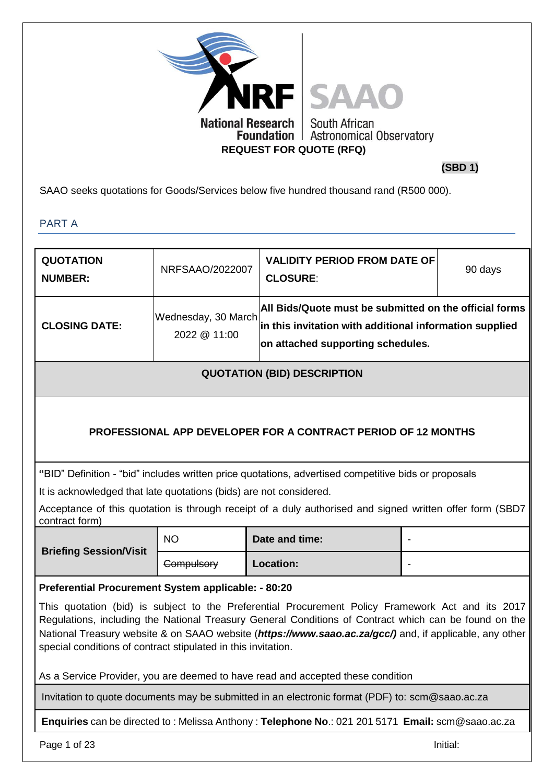

**(SBD 1)**

SAAO seeks quotations for Goods/Services below five hundred thousand rand (R500 000).

PART A

| <b>QUOTATION</b><br><b>NUMBER:</b>                                 | NRFSAAO/2022007                     | <b>VALIDITY PERIOD FROM DATE OF</b><br><b>CLOSURE:</b>                                                                                                                                                                                                                                                                | 90 days  |
|--------------------------------------------------------------------|-------------------------------------|-----------------------------------------------------------------------------------------------------------------------------------------------------------------------------------------------------------------------------------------------------------------------------------------------------------------------|----------|
| <b>CLOSING DATE:</b>                                               | Wednesday, 30 March<br>2022 @ 11:00 | All Bids/Quote must be submitted on the official forms<br>in this invitation with additional information supplied<br>on attached supporting schedules.                                                                                                                                                                |          |
|                                                                    |                                     | <b>QUOTATION (BID) DESCRIPTION</b>                                                                                                                                                                                                                                                                                    |          |
|                                                                    |                                     | <b>PROFESSIONAL APP DEVELOPER FOR A CONTRACT PERIOD OF 12 MONTHS</b>                                                                                                                                                                                                                                                  |          |
| It is acknowledged that late quotations (bids) are not considered. |                                     | "BID" Definition - "bid" includes written price quotations, advertised competitive bids or proposals                                                                                                                                                                                                                  |          |
| contract form)                                                     |                                     | Acceptance of this quotation is through receipt of a duly authorised and signed written offer form (SBD7                                                                                                                                                                                                              |          |
|                                                                    | <b>NO</b>                           | Date and time:                                                                                                                                                                                                                                                                                                        |          |
| <b>Briefing Session/Visit</b>                                      | <b>Compulsory</b>                   | Location:                                                                                                                                                                                                                                                                                                             |          |
| Preferential Procurement System applicable: - 80:20                |                                     |                                                                                                                                                                                                                                                                                                                       |          |
| special conditions of contract stipulated in this invitation.      |                                     | This quotation (bid) is subject to the Preferential Procurement Policy Framework Act and its 2017<br>Regulations, including the National Treasury General Conditions of Contract which can be found on the<br>National Treasury website & on SAAO website (https://www.saao.ac.za/gcc/) and, if applicable, any other |          |
|                                                                    |                                     | As a Service Provider, you are deemed to have read and accepted these condition                                                                                                                                                                                                                                       |          |
|                                                                    |                                     | Invitation to quote documents may be submitted in an electronic format (PDF) to: scm@saao.ac.za                                                                                                                                                                                                                       |          |
|                                                                    |                                     | Enquiries can be directed to: Melissa Anthony: Telephone No.: 021 201 5171 Email: scm@saao.ac.za                                                                                                                                                                                                                      |          |
| Page 1 of 23                                                       |                                     |                                                                                                                                                                                                                                                                                                                       | Initial: |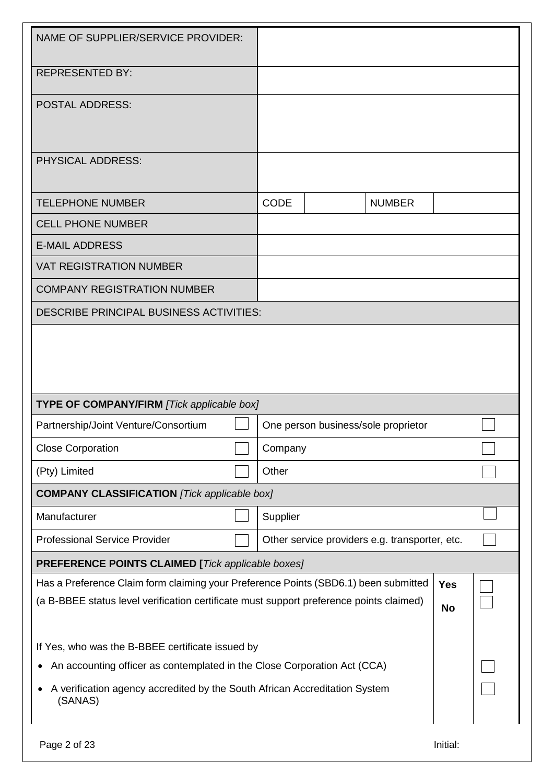| NAME OF SUPPLIER/SERVICE PROVIDER:                                                                                                                                             |             |                                                |                         |  |
|--------------------------------------------------------------------------------------------------------------------------------------------------------------------------------|-------------|------------------------------------------------|-------------------------|--|
| <b>REPRESENTED BY:</b>                                                                                                                                                         |             |                                                |                         |  |
| <b>POSTAL ADDRESS:</b>                                                                                                                                                         |             |                                                |                         |  |
| <b>PHYSICAL ADDRESS:</b>                                                                                                                                                       |             |                                                |                         |  |
| <b>TELEPHONE NUMBER</b>                                                                                                                                                        | <b>CODE</b> | <b>NUMBER</b>                                  |                         |  |
| <b>CELL PHONE NUMBER</b>                                                                                                                                                       |             |                                                |                         |  |
| <b>E-MAIL ADDRESS</b>                                                                                                                                                          |             |                                                |                         |  |
| <b>VAT REGISTRATION NUMBER</b>                                                                                                                                                 |             |                                                |                         |  |
| <b>COMPANY REGISTRATION NUMBER</b>                                                                                                                                             |             |                                                |                         |  |
| <b>DESCRIBE PRINCIPAL BUSINESS ACTIVITIES:</b>                                                                                                                                 |             |                                                |                         |  |
| <b>TYPE OF COMPANY/FIRM [Tick applicable box]</b>                                                                                                                              |             |                                                |                         |  |
| Partnership/Joint Venture/Consortium                                                                                                                                           |             | One person business/sole proprietor            |                         |  |
| <b>Close Corporation</b>                                                                                                                                                       | Company     |                                                |                         |  |
| (Pty) Limited                                                                                                                                                                  | Other       |                                                |                         |  |
| <b>COMPANY CLASSIFICATION</b> [Tick applicable box]                                                                                                                            |             |                                                |                         |  |
| Manufacturer                                                                                                                                                                   | Supplier    |                                                |                         |  |
| <b>Professional Service Provider</b>                                                                                                                                           |             | Other service providers e.g. transporter, etc. |                         |  |
| <b>PREFERENCE POINTS CLAIMED [Tick applicable boxes]</b>                                                                                                                       |             |                                                |                         |  |
| Has a Preference Claim form claiming your Preference Points (SBD6.1) been submitted<br>(a B-BBEE status level verification certificate must support preference points claimed) |             |                                                | <b>Yes</b><br><b>No</b> |  |
| If Yes, who was the B-BBEE certificate issued by                                                                                                                               |             |                                                |                         |  |
| An accounting officer as contemplated in the Close Corporation Act (CCA)<br>$\bullet$                                                                                          |             |                                                |                         |  |
| A verification agency accredited by the South African Accreditation System<br>(SANAS)                                                                                          |             |                                                |                         |  |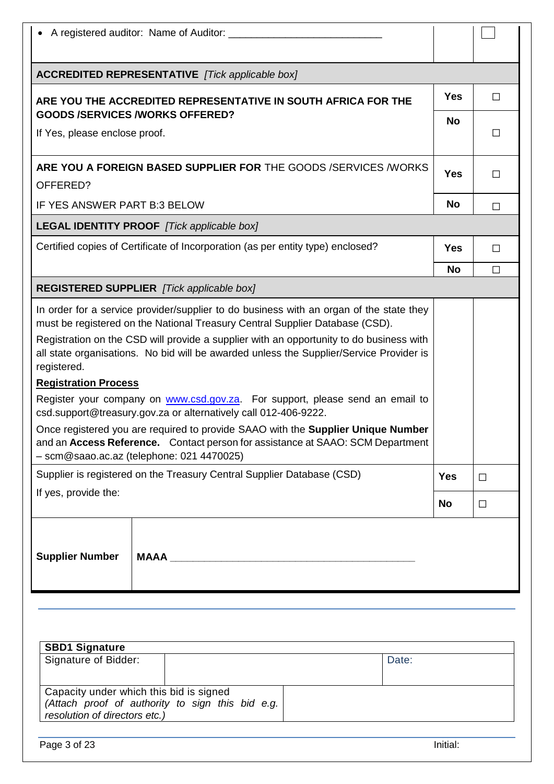|                                        | A registered auditor: Name of Auditor:                                                                                                                                                                          |            |        |
|----------------------------------------|-----------------------------------------------------------------------------------------------------------------------------------------------------------------------------------------------------------------|------------|--------|
|                                        | <b>ACCREDITED REPRESENTATIVE</b> [Tick applicable box]                                                                                                                                                          |            |        |
|                                        | ARE YOU THE ACCREDITED REPRESENTATIVE IN SOUTH AFRICA FOR THE                                                                                                                                                   | <b>Yes</b> | $\Box$ |
| <b>GOODS /SERVICES /WORKS OFFERED?</b> |                                                                                                                                                                                                                 | <b>No</b>  |        |
| If Yes, please enclose proof.          |                                                                                                                                                                                                                 |            | Ш      |
|                                        | ARE YOU A FOREIGN BASED SUPPLIER FOR THE GOODS /SERVICES /WORKS                                                                                                                                                 | <b>Yes</b> | $\Box$ |
| OFFERED?                               |                                                                                                                                                                                                                 |            |        |
| IF YES ANSWER PART B:3 BELOW           |                                                                                                                                                                                                                 | <b>No</b>  | П      |
|                                        | <b>LEGAL IDENTITY PROOF</b> [Tick applicable box]                                                                                                                                                               |            |        |
|                                        | Certified copies of Certificate of Incorporation (as per entity type) enclosed?                                                                                                                                 | <b>Yes</b> | П      |
|                                        |                                                                                                                                                                                                                 | <b>No</b>  | $\Box$ |
|                                        | REGISTERED SUPPLIER [Tick applicable box]                                                                                                                                                                       |            |        |
|                                        | In order for a service provider/supplier to do business with an organ of the state they<br>must be registered on the National Treasury Central Supplier Database (CSD).                                         |            |        |
| registered.                            | Registration on the CSD will provide a supplier with an opportunity to do business with<br>all state organisations. No bid will be awarded unless the Supplier/Service Provider is                              |            |        |
| <b>Registration Process</b>            |                                                                                                                                                                                                                 |            |        |
|                                        | Register your company on www.csd.gov.za. For support, please send an email to<br>csd.support@treasury.gov.za or alternatively call 012-406-9222.                                                                |            |        |
|                                        | Once registered you are required to provide SAAO with the Supplier Unique Number<br>and an Access Reference. Contact person for assistance at SAAO: SCM Department<br>- scm@saao.ac.az (telephone: 021 4470025) |            |        |
|                                        | Supplier is registered on the Treasury Central Supplier Database (CSD)                                                                                                                                          | <b>Yes</b> | $\Box$ |
| If yes, provide the:                   |                                                                                                                                                                                                                 | No         | $\Box$ |
| <b>Supplier Number</b>                 | <b>MAAA</b>                                                                                                                                                                                                     |            |        |

| <b>SBD1 Signature</b>                                                                                                        |  |       |
|------------------------------------------------------------------------------------------------------------------------------|--|-------|
| Signature of Bidder:                                                                                                         |  | Date: |
| Capacity under which this bid is signed<br>(Attach proof of authority to sign this bid e.g.<br>resolution of directors etc.) |  |       |

Page 3 of 23 Initial: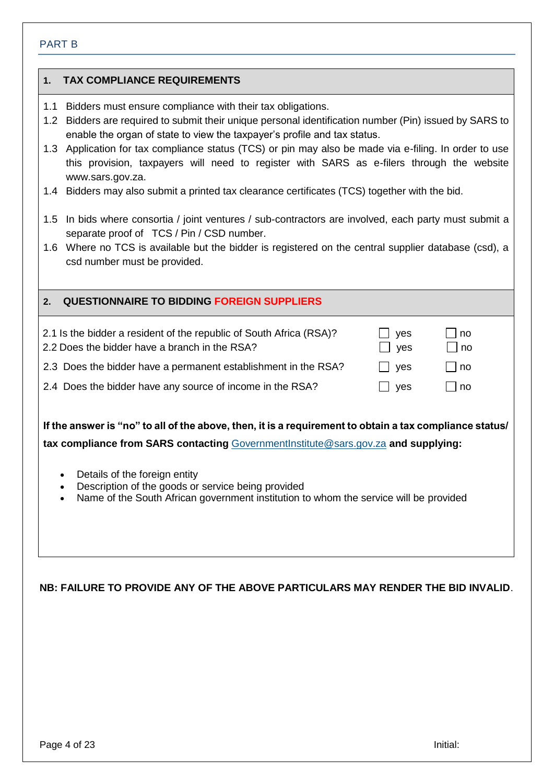#### PART B

### **1. TAX COMPLIANCE REQUIREMENTS**

- 1.1 Bidders must ensure compliance with their tax obligations.
- 1.2 Bidders are required to submit their unique personal identification number (Pin) issued by SARS to enable the organ of state to view the taxpayer's profile and tax status.
- 1.3 Application for tax compliance status (TCS) or pin may also be made via e-filing. In order to use this provision, taxpayers will need to register with SARS as e-filers through the website [www.sars.gov.za.](http://www.sars.gov.za/)
- 1.4 Bidders may also submit a printed tax clearance certificates (TCS) together with the bid.
- 1.5 In bids where consortia / joint ventures / sub-contractors are involved, each party must submit a separate proof of TCS / Pin / CSD number.
- 1.6 Where no TCS is available but the bidder is registered on the central supplier database (csd), a csd number must be provided.

| <b>QUESTIONNAIRE TO BIDDING FOREIGN SUPPLIERS</b><br>2 <sub>1</sub>                                                  |            |          |
|----------------------------------------------------------------------------------------------------------------------|------------|----------|
| 2.1 Is the bidder a resident of the republic of South Africa (RSA)?<br>2.2 Does the bidder have a branch in the RSA? | yes<br>yes | no<br>no |
| 2.3 Does the bidder have a permanent establishment in the RSA?                                                       | yes        | no       |
| 2.4 Does the bidder have any source of income in the RSA?                                                            | ves        | no       |
|                                                                                                                      |            |          |
| If the answer is "no" to all of the above, then, it is a requirement to obtain a tax compliance status/              |            |          |

**tax compliance from SARS contacting** [GovernmentInstitute@sars.gov.za](mailto:GovernmentInstitute@sars.gov.za) **and supplying:**

- Details of the foreign entity
- Description of the goods or service being provided
- Name of the South African government institution to whom the service will be provided

#### **NB: FAILURE TO PROVIDE ANY OF THE ABOVE PARTICULARS MAY RENDER THE BID INVALID**.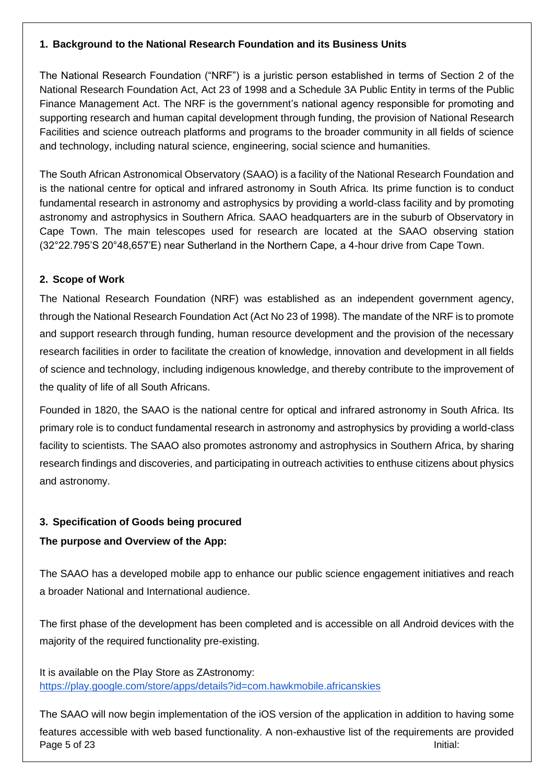## **1. Background to the National Research Foundation and its Business Units**

The National Research Foundation ("NRF") is a juristic person established in terms of Section 2 of the National Research Foundation Act, Act 23 of 1998 and a Schedule 3A Public Entity in terms of the Public Finance Management Act. The NRF is the government's national agency responsible for promoting and supporting research and human capital development through funding, the provision of National Research Facilities and science outreach platforms and programs to the broader community in all fields of science and technology, including natural science, engineering, social science and humanities.

The South African Astronomical Observatory (SAAO) is a facility of the National Research Foundation and is the national centre for optical and infrared astronomy in South Africa. Its prime function is to conduct fundamental research in astronomy and astrophysics by providing a world-class facility and by promoting astronomy and astrophysics in Southern Africa. SAAO headquarters are in the suburb of Observatory in Cape Town. The main telescopes used for research are located at the SAAO observing station (32°22.795'S 20°48,657'E) near Sutherland in the Northern Cape, a 4-hour drive from Cape Town.

## **2. Scope of Work**

The National Research Foundation (NRF) was established as an independent government agency, through the National Research Foundation Act (Act No 23 of 1998). The mandate of the NRF is to promote and support research through funding, human resource development and the provision of the necessary research facilities in order to facilitate the creation of knowledge, innovation and development in all fields of science and technology, including indigenous knowledge, and thereby contribute to the improvement of the quality of life of all South Africans.

Founded in 1820, the SAAO is the national centre for optical and infrared astronomy in South Africa. Its primary role is to conduct fundamental research in astronomy and astrophysics by providing a world-class facility to scientists. The SAAO also promotes astronomy and astrophysics in Southern Africa, by sharing research findings and discoveries, and participating in outreach activities to enthuse citizens about physics and astronomy.

## **3. Specification of Goods being procured**

## **The purpose and Overview of the App:**

The SAAO has a developed mobile app to enhance our public science engagement initiatives and reach a broader National and International audience.

The first phase of the development has been completed and is accessible on all Android devices with the majority of the required functionality pre-existing.

It is available on the Play Store as ZAstronomy: <https://play.google.com/store/apps/details?id=com.hawkmobile.africanskies>

Page 5 of 23 Initial: The SAAO will now begin implementation of the iOS version of the application in addition to having some features accessible with web based functionality. A non-exhaustive list of the requirements are provided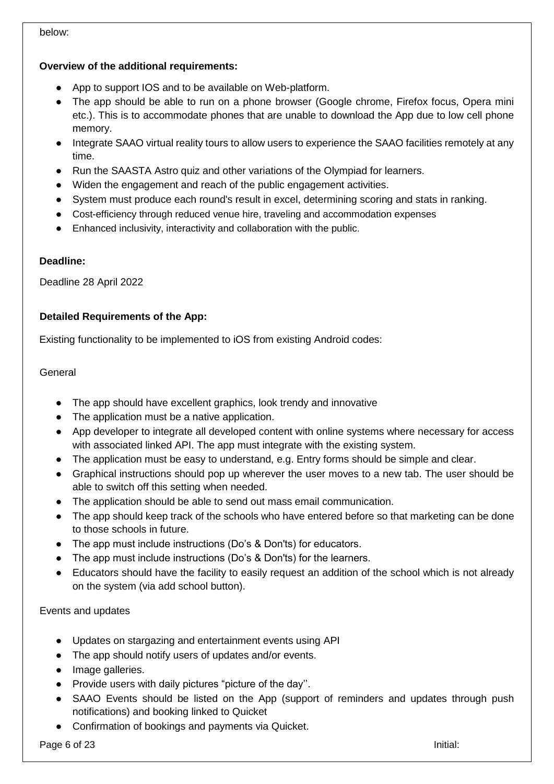# **Overview of the additional requirements:**

- App to support IOS and to be available on Web-platform.
- The app should be able to run on a phone browser (Google chrome, Firefox focus, Opera mini etc.). This is to accommodate phones that are unable to download the App due to low cell phone memory.
- Integrate SAAO virtual reality tours to allow users to experience the SAAO facilities remotely at any time.
- Run the SAASTA Astro quiz and other variations of the Olympiad for learners.
- Widen the engagement and reach of the public engagement activities.
- System must produce each round's result in excel, determining scoring and stats in ranking.
- Cost-efficiency through reduced venue hire, traveling and accommodation expenses
- Enhanced inclusivity, interactivity and collaboration with the public.

## **Deadline:**

Deadline 28 April 2022

## **Detailed Requirements of the App:**

Existing functionality to be implemented to iOS from existing Android codes:

## **General**

- The app should have excellent graphics, look trendy and innovative
- The application must be a native application.
- App developer to integrate all developed content with online systems where necessary for access with associated linked API. The app must integrate with the existing system.
- The application must be easy to understand, e.g. Entry forms should be simple and clear.
- Graphical instructions should pop up wherever the user moves to a new tab. The user should be able to switch off this setting when needed.
- The application should be able to send out mass email communication.
- The app should keep track of the schools who have entered before so that marketing can be done to those schools in future.
- The app must include instructions (Do's & Don'ts) for educators.
- The app must include instructions (Do's & Don'ts) for the learners.
- Educators should have the facility to easily request an addition of the school which is not already on the system (via add school button).

Events and updates

- Updates on stargazing and entertainment events using API
- The app should notify users of updates and/or events.
- Image galleries.
- Provide users with daily pictures "picture of the day''.
- SAAO Events should be listed on the App (support of reminders and updates through push notifications) and booking linked to Quicket
- Confirmation of bookings and payments via Quicket.

Page 6 of 23 Initial:

below: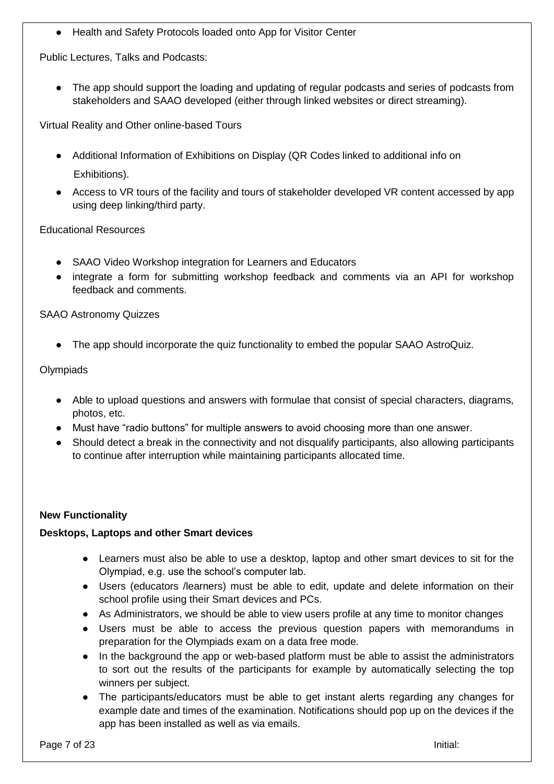● Health and Safety Protocols loaded onto App for Visitor Center

Public Lectures, Talks and Podcasts:

• The app should support the loading and updating of regular podcasts and series of podcasts from stakeholders and SAAO developed (either through linked websites or direct streaming).

Virtual Reality and Other online-based Tours

- Additional Information of Exhibitions on Display (QR Codes linked to additional info on Exhibitions).
- Access to VR tours of the facility and tours of stakeholder developed VR content accessed by app using deep linking/third party.

#### Educational Resources

- SAAO Video Workshop integration for Learners and Educators
- integrate a form for submitting workshop feedback and comments via an API for workshop feedback and comments.

### SAAO Astronomy Quizzes

• The app should incorporate the quiz functionality to embed the popular SAAO AstroQuiz.

#### **Olympiads**

- Able to upload questions and answers with formulae that consist of special characters, diagrams, photos, etc.
- Must have "radio buttons" for multiple answers to avoid choosing more than one answer.
- Should detect a break in the connectivity and not disqualify participants, also allowing participants to continue after interruption while maintaining participants allocated time.

#### **New Functionality**

#### **Desktops, Laptops and other Smart devices**

- Learners must also be able to use a desktop, laptop and other smart devices to sit for the Olympiad, e.g. use the school's computer lab.
- Users (educators /learners) must be able to edit, update and delete information on their school profile using their Smart devices and PCs.
- As Administrators, we should be able to view users profile at any time to monitor changes
- Users must be able to access the previous question papers with memorandums in preparation for the Olympiads exam on a data free mode.
- In the background the app or web-based platform must be able to assist the administrators to sort out the results of the participants for example by automatically selecting the top winners per subject.
- The participants/educators must be able to get instant alerts regarding any changes for example date and times of the examination. Notifications should pop up on the devices if the app has been installed as well as via emails.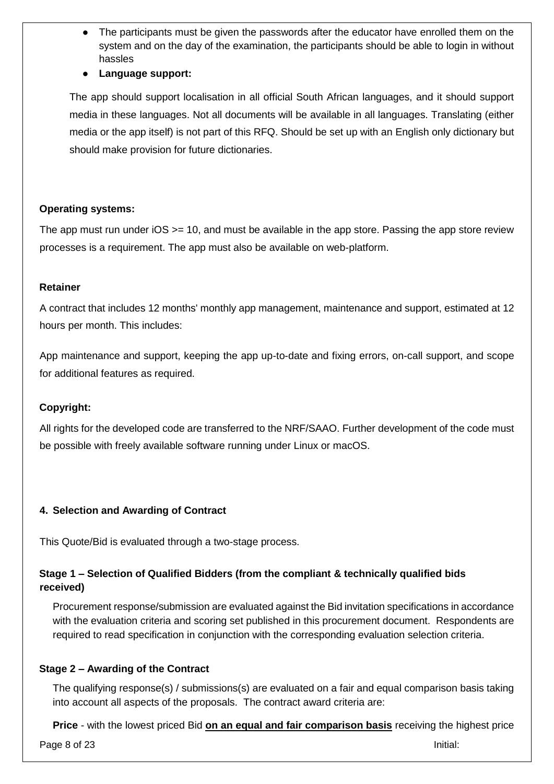- The participants must be given the passwords after the educator have enrolled them on the system and on the day of the examination, the participants should be able to login in without hassles
- **Language support:**

The app should support localisation in all official South African languages, and it should support media in these languages. Not all documents will be available in all languages. Translating (either media or the app itself) is not part of this RFQ. Should be set up with an English only dictionary but should make provision for future dictionaries.

### **Operating systems:**

The app must run under  $OS \ge 10$ , and must be available in the app store. Passing the app store review processes is a requirement. The app must also be available on web-platform.

#### **Retainer**

A contract that includes 12 months' monthly app management, maintenance and support, estimated at 12 hours per month. This includes:

App maintenance and support, keeping the app up-to-date and fixing errors, on-call support, and scope for additional features as required.

## **Copyright:**

All rights for the developed code are transferred to the NRF/SAAO. Further development of the code must be possible with freely available software running under Linux or macOS.

#### **4. Selection and Awarding of Contract**

This Quote/Bid is evaluated through a two-stage process.

## **Stage 1 – Selection of Qualified Bidders (from the compliant & technically qualified bids received)**

Procurement response/submission are evaluated against the Bid invitation specifications in accordance with the evaluation criteria and scoring set published in this procurement document. Respondents are required to read specification in conjunction with the corresponding evaluation selection criteria.

## **Stage 2 – Awarding of the Contract**

The qualifying response(s) / submissions(s) are evaluated on a fair and equal comparison basis taking into account all aspects of the proposals. The contract award criteria are:

**Price** - with the lowest priced Bid **on an equal and fair comparison basis** receiving the highest price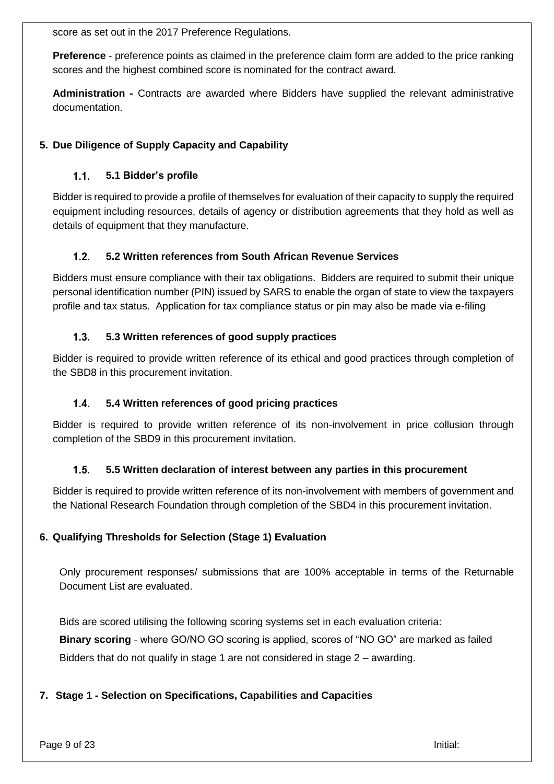score as set out in the 2017 Preference Regulations.

**Preference** - preference points as claimed in the preference claim form are added to the price ranking scores and the highest combined score is nominated for the contract award.

**Administration -** Contracts are awarded where Bidders have supplied the relevant administrative documentation.

## **5. Due Diligence of Supply Capacity and Capability**

#### $1.1.$ **5.1 Bidder's profile**

Bidder is required to provide a profile of themselves for evaluation of their capacity to supply the required equipment including resources, details of agency or distribution agreements that they hold as well as details of equipment that they manufacture.

#### $1.2.$ **5.2 Written references from South African Revenue Services**

Bidders must ensure compliance with their tax obligations. Bidders are required to submit their unique personal identification number (PIN) issued by SARS to enable the organ of state to view the taxpayers profile and tax status. Application for tax compliance status or pin may also be made via e-filing

#### $1.3.$ **5.3 Written references of good supply practices**

Bidder is required to provide written reference of its ethical and good practices through completion of the SBD8 in this procurement invitation.

#### $1.4.$ **5.4 Written references of good pricing practices**

Bidder is required to provide written reference of its non-involvement in price collusion through completion of the SBD9 in this procurement invitation.

#### $1.5.$ **5.5 Written declaration of interest between any parties in this procurement**

Bidder is required to provide written reference of its non-involvement with members of government and the National Research Foundation through completion of the SBD4 in this procurement invitation.

#### **6. Qualifying Thresholds for Selection (Stage 1) Evaluation**

Only procurement responses/ submissions that are 100% acceptable in terms of the Returnable Document List are evaluated.

Bids are scored utilising the following scoring systems set in each evaluation criteria: **Binary scoring** - where GO/NO GO scoring is applied, scores of "NO GO" are marked as failed Bidders that do not qualify in stage 1 are not considered in stage 2 – awarding.

## **7. Stage 1 - Selection on Specifications, Capabilities and Capacities**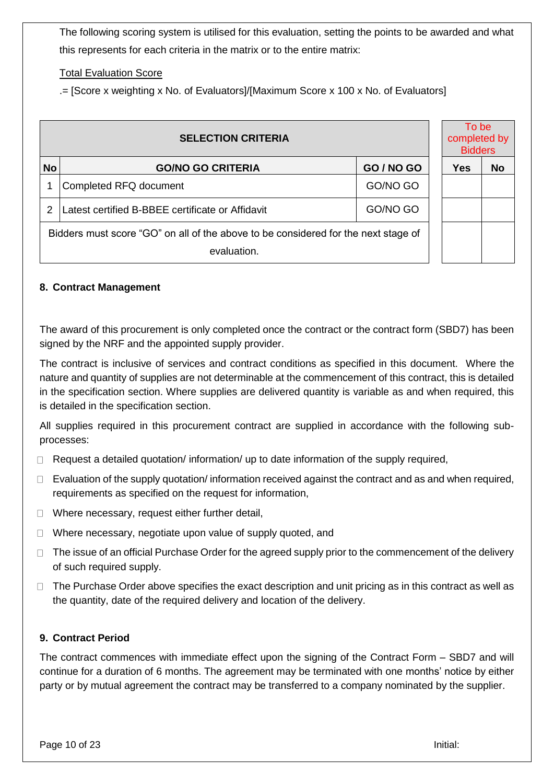The following scoring system is utilised for this evaluation, setting the points to be awarded and what this represents for each criteria in the matrix or to the entire matrix:

## Total Evaluation Score

.= [Score x weighting x No. of Evaluators]/[Maximum Score x 100 x No. of Evaluators]

|           | <b>SELECTION CRITERIA</b>                                                          |            | To be<br>completed by<br><b>Bidders</b> |           |
|-----------|------------------------------------------------------------------------------------|------------|-----------------------------------------|-----------|
| <b>No</b> | <b>GO/NO GO CRITERIA</b>                                                           | GO / NO GO | Yes                                     | <b>No</b> |
|           | Completed RFQ document                                                             | GO/NO GO   |                                         |           |
|           | Latest certified B-BBEE certificate or Affidavit                                   | GO/NO GO   |                                         |           |
|           | Bidders must score "GO" on all of the above to be considered for the next stage of |            |                                         |           |
|           | evaluation.                                                                        |            |                                         |           |

#### **8. Contract Management**

The award of this procurement is only completed once the contract or the contract form (SBD7) has been signed by the NRF and the appointed supply provider.

The contract is inclusive of services and contract conditions as specified in this document. Where the nature and quantity of supplies are not determinable at the commencement of this contract, this is detailed in the specification section. Where supplies are delivered quantity is variable as and when required, this is detailed in the specification section.

All supplies required in this procurement contract are supplied in accordance with the following subprocesses:

- Request a detailed quotation/ information/ up to date information of the supply required,  $\Box$
- Evaluation of the supply quotation/ information received against the contract and as and when required,  $\Box$ requirements as specified on the request for information,
- $\Box$  Where necessary, request either further detail,
- $\Box$  Where necessary, negotiate upon value of supply quoted, and
- $\Box$  The issue of an official Purchase Order for the agreed supply prior to the commencement of the delivery of such required supply.
- $\Box$  The Purchase Order above specifies the exact description and unit pricing as in this contract as well as the quantity, date of the required delivery and location of the delivery.

#### **9. Contract Period**

The contract commences with immediate effect upon the signing of the Contract Form – SBD7 and will continue for a duration of 6 months. The agreement may be terminated with one months' notice by either party or by mutual agreement the contract may be transferred to a company nominated by the supplier.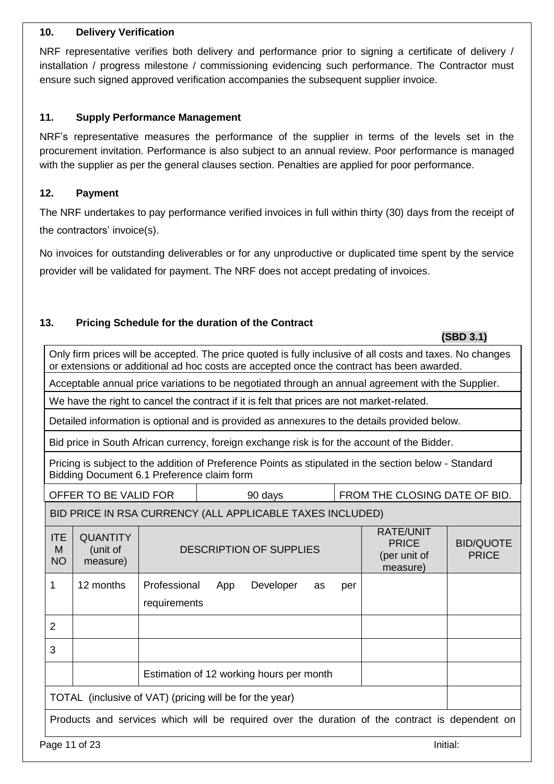#### **10. Delivery Verification**

NRF representative verifies both delivery and performance prior to signing a certificate of delivery / installation / progress milestone / commissioning evidencing such performance. The Contractor must ensure such signed approved verification accompanies the subsequent supplier invoice.

### **11. Supply Performance Management**

NRF's representative measures the performance of the supplier in terms of the levels set in the procurement invitation. Performance is also subject to an annual review. Poor performance is managed with the supplier as per the general clauses section. Penalties are applied for poor performance.

### **12. Payment**

The NRF undertakes to pay performance verified invoices in full within thirty (30) days from the receipt of the contractors' invoice(s).

No invoices for outstanding deliverables or for any unproductive or duplicated time spent by the service provider will be validated for payment. The NRF does not accept predating of invoices.

## **13. Pricing Schedule for the duration of the Contract**

 **(SBD 3.1)**

Only firm prices will be accepted. The price quoted is fully inclusive of all costs and taxes. No changes or extensions or additional ad hoc costs are accepted once the contract has been awarded.

Acceptable annual price variations to be negotiated through an annual agreement with the Supplier.

We have the right to cancel the contract if it is felt that prices are not market-related.

Detailed information is optional and is provided as annexures to the details provided below.

Bid price in South African currency, foreign exchange risk is for the account of the Bidder.

Pricing is subject to the addition of Preference Points as stipulated in the section below - Standard Bidding Document 6.1 Preference claim form

| OFFER TO BE VALID FO |  |  |  |
|----------------------|--|--|--|
|----------------------|--|--|--|

 $\overline{R}$  | 90 days FROM THE CLOSING DATE OF BID.

# BID PRICE IN RSA CURRENCY (ALL APPLICABLE TAXES INCLUDED)

| <b>ITE</b><br>M<br><b>NO</b> | <b>QUANTITY</b><br>(unit of<br>measure) | <b>DESCRIPTION OF SUPPLIES</b>                                                                 | <b>RATE/UNIT</b><br><b>PRICE</b><br>(per unit of<br>measure) | <b>BID/QUOTE</b><br><b>PRICE</b> |
|------------------------------|-----------------------------------------|------------------------------------------------------------------------------------------------|--------------------------------------------------------------|----------------------------------|
| 1                            | 12 months                               | Professional<br>Developer<br>App<br>as<br>per<br>requirements                                  |                                                              |                                  |
| $\overline{2}$               |                                         |                                                                                                |                                                              |                                  |
| 3                            |                                         |                                                                                                |                                                              |                                  |
|                              |                                         | Estimation of 12 working hours per month                                                       |                                                              |                                  |
|                              |                                         | TOTAL (inclusive of VAT) (pricing will be for the year)                                        |                                                              |                                  |
|                              |                                         | Products and services which will be required over the duration of the contract is dependent on |                                                              |                                  |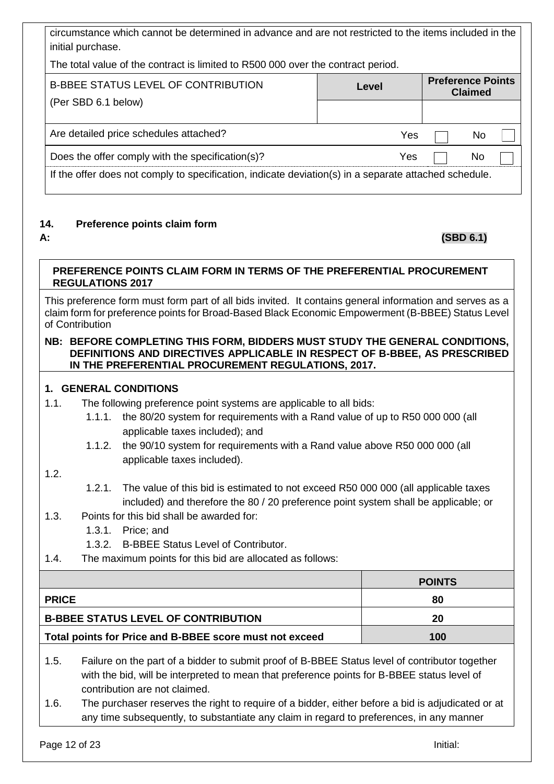| circumstance which cannot be determined in advance and are not restricted to the items included in the<br>initial purchase. |       |                          |                |  |
|-----------------------------------------------------------------------------------------------------------------------------|-------|--------------------------|----------------|--|
| The total value of the contract is limited to R500 000 over the contract period.                                            |       |                          |                |  |
| <b>B-BBEE STATUS LEVEL OF CONTRIBUTION</b>                                                                                  | Level | <b>Preference Points</b> | <b>Claimed</b> |  |
| (Per SBD 6.1 below)                                                                                                         |       |                          |                |  |
| Are detailed price schedules attached?                                                                                      | Yes   |                          | No             |  |
| Does the offer comply with the specification(s)?                                                                            | Yes   |                          | No             |  |
| If the offer does not comply to specification, indicate deviation(s) in a separate attached schedule.                       |       |                          |                |  |

## **14. Preference points claim form**

## **A: (SBD 6.1)**

## **PREFERENCE POINTS CLAIM FORM IN TERMS OF THE PREFERENTIAL PROCUREMENT REGULATIONS 2017**

This preference form must form part of all bids invited. It contains general information and serves as a claim form for preference points for Broad-Based Black Economic Empowerment (B-BBEE) Status Level of Contribution

#### **NB: BEFORE COMPLETING THIS FORM, BIDDERS MUST STUDY THE GENERAL CONDITIONS, DEFINITIONS AND DIRECTIVES APPLICABLE IN RESPECT OF B-BBEE, AS PRESCRIBED IN THE PREFERENTIAL PROCUREMENT REGULATIONS, 2017.**

## **1. GENERAL CONDITIONS**

- 1.1. The following preference point systems are applicable to all bids:
	- 1.1.1. the 80/20 system for requirements with a Rand value of up to R50 000 000 (all applicable taxes included); and
	- 1.1.2. the 90/10 system for requirements with a Rand value above R50 000 000 (all applicable taxes included).

## 1.2.

- 1.2.1. The value of this bid is estimated to not exceed R50 000 000 (all applicable taxes included) and therefore the 80 / 20 preference point system shall be applicable; or
- 1.3. Points for this bid shall be awarded for:
	- 1.3.1. Price; and
	- 1.3.2. B-BBEE Status Level of Contributor.
- 1.4. The maximum points for this bid are allocated as follows:

|                                                         | <b>POINTS</b> |
|---------------------------------------------------------|---------------|
| <b>PRICE</b>                                            | 80            |
| <b>B-BBEE STATUS LEVEL OF CONTRIBUTION</b>              | 20            |
| Total points for Price and B-BBEE score must not exceed | 100           |

- 1.5. Failure on the part of a bidder to submit proof of B-BBEE Status level of contributor together with the bid, will be interpreted to mean that preference points for B-BBEE status level of contribution are not claimed.
- 1.6. The purchaser reserves the right to require of a bidder, either before a bid is adjudicated or at any time subsequently, to substantiate any claim in regard to preferences, in any manner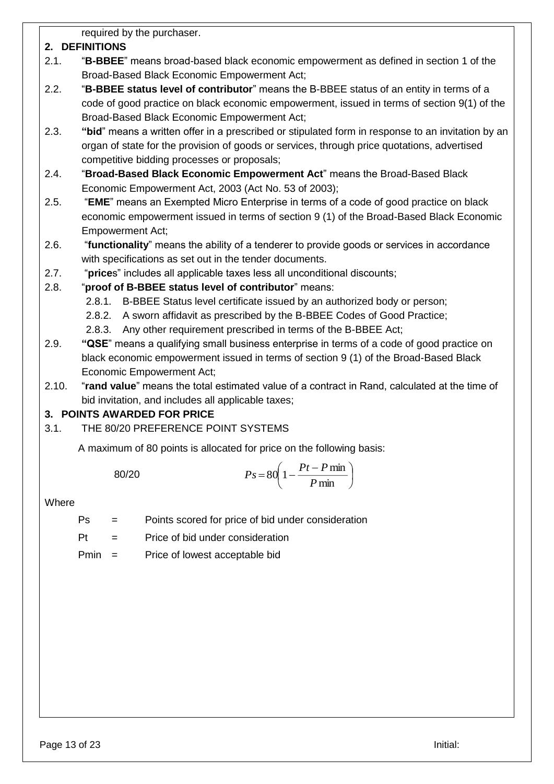required by the purchaser.

# **2. DEFINITIONS**

- 2.1. "**B-BBEE**" means broad-based black economic empowerment as defined in section 1 of the Broad-Based Black Economic Empowerment Act;
- 2.2. "**B-BBEE status level of contributor**" means the B-BBEE status of an entity in terms of a code of good practice on black economic empowerment, issued in terms of section 9(1) of the Broad-Based Black Economic Empowerment Act;
- 2.3. **"bid**" means a written offer in a prescribed or stipulated form in response to an invitation by an organ of state for the provision of goods or services, through price quotations, advertised competitive bidding processes or proposals;
- 2.4. "**Broad-Based Black Economic Empowerment Act**" means the Broad-Based Black Economic Empowerment Act, 2003 (Act No. 53 of 2003);
- 2.5. "**EME**" means an Exempted Micro Enterprise in terms of a code of good practice on black economic empowerment issued in terms of section 9 (1) of the Broad-Based Black Economic Empowerment Act;
- 2.6. "**functionality**" means the ability of a tenderer to provide goods or services in accordance with specifications as set out in the tender documents.
- 2.7. "**price**s" includes all applicable taxes less all unconditional discounts;
- 2.8. "**proof of B-BBEE status level of contributor**" means:
	- 2.8.1. B-BBEE Status level certificate issued by an authorized body or person;
	- 2.8.2. A sworn affidavit as prescribed by the B-BBEE Codes of Good Practice;
	- 2.8.3. Any other requirement prescribed in terms of the B-BBEE Act;
- 2.9. **"QSE**" means a qualifying small business enterprise in terms of a code of good practice on black economic empowerment issued in terms of section 9 (1) of the Broad-Based Black Economic Empowerment Act;
- 2.10. "**rand value**" means the total estimated value of a contract in Rand, calculated at the time of bid invitation, and includes all applicable taxes;

# **3. POINTS AWARDED FOR PRICE**

3.1. THE 80/20 PREFERENCE POINT SYSTEMS

A maximum of 80 points is allocated for price on the following basis:

$$
Ps = 80\left(1 - \frac{Pt - P \min}{P \min}\right)
$$

## **Where**

- Ps = Points scored for price of bid under consideration
- Pt = Price of bid under consideration
- Pmin = Price of lowest acceptable bid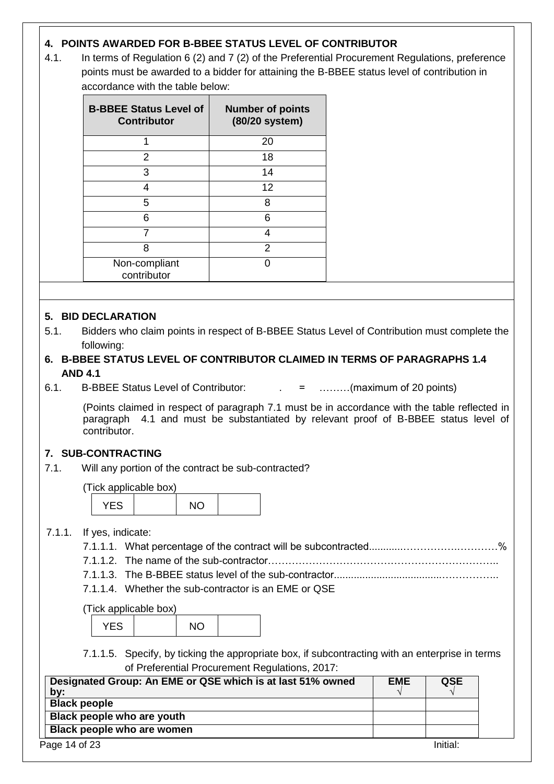## **4. POINTS AWARDED FOR B-BBEE STATUS LEVEL OF CONTRIBUTOR**

4.1. In terms of Regulation 6 (2) and 7 (2) of the Preferential Procurement Regulations, preference points must be awarded to a bidder for attaining the B-BBEE status level of contribution in accordance with the table below:

| <b>B-BBEE Status Level of</b><br><b>Contributor</b> | <b>Number of points</b><br>(80/20 system) |
|-----------------------------------------------------|-------------------------------------------|
|                                                     | 20                                        |
| 2                                                   | 18                                        |
| 3                                                   | 14                                        |
| 4                                                   | 12                                        |
| 5                                                   | 8                                         |
| 6                                                   | 6                                         |
|                                                     | 4                                         |
| 8                                                   | 2                                         |
| Non-compliant<br>contributor                        |                                           |

## **5. BID DECLARATION**

- 5.1. Bidders who claim points in respect of B-BBEE Status Level of Contribution must complete the following:
- **6. B-BBEE STATUS LEVEL OF CONTRIBUTOR CLAIMED IN TERMS OF PARAGRAPHS 1.4 AND 4.1**
- 6.1. B-BBEE Status Level of Contributor: . = ………(maximum of 20 points)

(Points claimed in respect of paragraph 7.1 must be in accordance with the table reflected in paragraph 4.1 and must be substantiated by relevant proof of B-BBEE status level of contributor.

## **7. SUB-CONTRACTING**

7.1. Will any portion of the contract be sub-contracted?

(Tick applicable box)

| .<br>◠ |
|--------|
|--------|

## 7.1.1. If yes, indicate:

- 7.1.1.1. What percentage of the contract will be subcontracted............…………….…………%
- 7.1.1.2. The name of the sub-contractor…………………………………………………………..
- 7.1.1.3. The B-BBEE status level of the sub-contractor......................................……………..
- 7.1.1.4. Whether the sub-contractor is an EME or QSE

(Tick applicable box)

| $\overline{M}$ |  |  |
|----------------|--|--|
|                |  |  |

7.1.1.5. Specify, by ticking the appropriate box, if subcontracting with an enterprise in terms of Preferential Procurement Regulations, 2017:

| Designated Group: An EME or QSE which is at last 51% owned<br>by: | <b>EME</b> | <b>QSE</b> |
|-------------------------------------------------------------------|------------|------------|
| <b>Black people</b>                                               |            |            |
| Black people who are youth                                        |            |            |
| Black people who are women                                        |            |            |
| Page 14 of 23                                                     |            | Initial:   |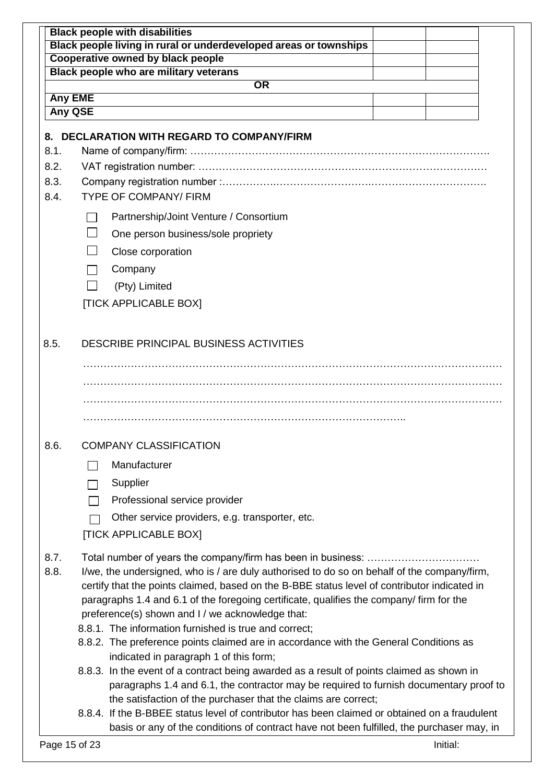|                                                                                                                                              | <b>Black people with disabilities</b>                                                         |  |  |  |  |  |
|----------------------------------------------------------------------------------------------------------------------------------------------|-----------------------------------------------------------------------------------------------|--|--|--|--|--|
| Black people living in rural or underdeveloped areas or townships                                                                            |                                                                                               |  |  |  |  |  |
| <b>Cooperative owned by black people</b><br>Black people who are military veterans                                                           |                                                                                               |  |  |  |  |  |
|                                                                                                                                              | $\overline{\text{OR}}$                                                                        |  |  |  |  |  |
|                                                                                                                                              | <b>Any EME</b>                                                                                |  |  |  |  |  |
| <b>Any QSE</b>                                                                                                                               |                                                                                               |  |  |  |  |  |
| 8.                                                                                                                                           | <b>DECLARATION WITH REGARD TO COMPANY/FIRM</b>                                                |  |  |  |  |  |
| 8.1.                                                                                                                                         |                                                                                               |  |  |  |  |  |
| 8.2.                                                                                                                                         |                                                                                               |  |  |  |  |  |
| 8.3.                                                                                                                                         |                                                                                               |  |  |  |  |  |
| 8.4.                                                                                                                                         | <b>TYPE OF COMPANY/ FIRM</b>                                                                  |  |  |  |  |  |
|                                                                                                                                              | Partnership/Joint Venture / Consortium                                                        |  |  |  |  |  |
|                                                                                                                                              | One person business/sole propriety                                                            |  |  |  |  |  |
|                                                                                                                                              | Close corporation                                                                             |  |  |  |  |  |
|                                                                                                                                              | Company                                                                                       |  |  |  |  |  |
|                                                                                                                                              | (Pty) Limited                                                                                 |  |  |  |  |  |
|                                                                                                                                              | <b>[TICK APPLICABLE BOX]</b>                                                                  |  |  |  |  |  |
|                                                                                                                                              |                                                                                               |  |  |  |  |  |
| 8.5.                                                                                                                                         | DESCRIBE PRINCIPAL BUSINESS ACTIVITIES                                                        |  |  |  |  |  |
|                                                                                                                                              |                                                                                               |  |  |  |  |  |
|                                                                                                                                              |                                                                                               |  |  |  |  |  |
|                                                                                                                                              |                                                                                               |  |  |  |  |  |
| 8.6.                                                                                                                                         | <b>COMPANY CLASSIFICATION</b>                                                                 |  |  |  |  |  |
|                                                                                                                                              | Manufacturer                                                                                  |  |  |  |  |  |
|                                                                                                                                              | Supplier                                                                                      |  |  |  |  |  |
|                                                                                                                                              | Professional service provider<br>$\mathbb{R}^n$                                               |  |  |  |  |  |
|                                                                                                                                              | Other service providers, e.g. transporter, etc.                                               |  |  |  |  |  |
|                                                                                                                                              | [TICK APPLICABLE BOX]                                                                         |  |  |  |  |  |
|                                                                                                                                              |                                                                                               |  |  |  |  |  |
| 8.7.                                                                                                                                         |                                                                                               |  |  |  |  |  |
| 8.8.                                                                                                                                         | I/we, the undersigned, who is / are duly authorised to do so on behalf of the company/firm,   |  |  |  |  |  |
|                                                                                                                                              | certify that the points claimed, based on the B-BBE status level of contributor indicated in  |  |  |  |  |  |
| paragraphs 1.4 and 6.1 of the foregoing certificate, qualifies the company/ firm for the<br>preference(s) shown and I / we acknowledge that: |                                                                                               |  |  |  |  |  |
|                                                                                                                                              | 8.8.1. The information furnished is true and correct;                                         |  |  |  |  |  |
|                                                                                                                                              | 8.8.2. The preference points claimed are in accordance with the General Conditions as         |  |  |  |  |  |
|                                                                                                                                              | indicated in paragraph 1 of this form;                                                        |  |  |  |  |  |
|                                                                                                                                              | 8.8.3. In the event of a contract being awarded as a result of points claimed as shown in     |  |  |  |  |  |
|                                                                                                                                              | paragraphs 1.4 and 6.1, the contractor may be required to furnish documentary proof to        |  |  |  |  |  |
|                                                                                                                                              | the satisfaction of the purchaser that the claims are correct;                                |  |  |  |  |  |
|                                                                                                                                              | 8.8.4. If the B-BBEE status level of contributor has been claimed or obtained on a fraudulent |  |  |  |  |  |
|                                                                                                                                              | basis or any of the conditions of contract have not been fulfilled, the purchaser may, in     |  |  |  |  |  |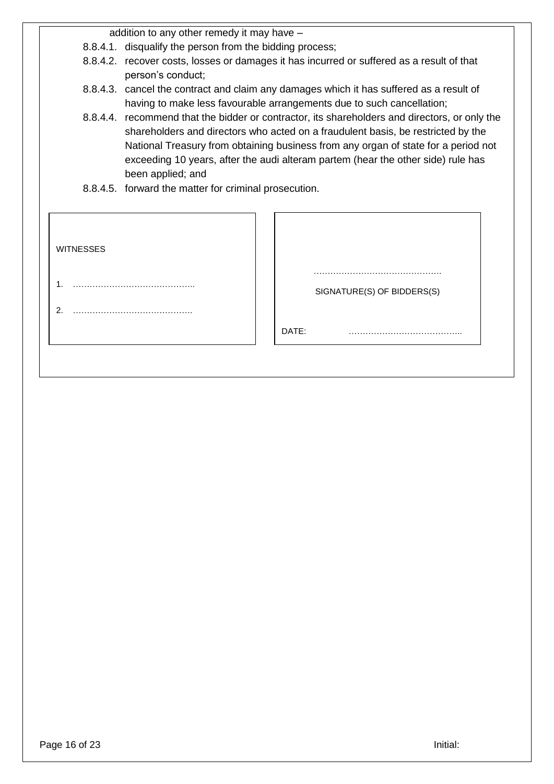addition to any other remedy it may have –

- 8.8.4.1. disqualify the person from the bidding process;
- 8.8.4.2. recover costs, losses or damages it has incurred or suffered as a result of that person's conduct;
- 8.8.4.3. cancel the contract and claim any damages which it has suffered as a result of having to make less favourable arrangements due to such cancellation;
- 8.8.4.4. recommend that the bidder or contractor, its shareholders and directors, or only the shareholders and directors who acted on a fraudulent basis, be restricted by the National Treasury from obtaining business from any organ of state for a period not exceeding 10 years, after the audi alteram partem (hear the other side) rule has been applied; and
- 8.8.4.5. forward the matter for criminal prosecution.

| <b>WITNESSES</b>       |                                 |
|------------------------|---------------------------------|
| 1.<br>$\overline{2}$ . | .<br>SIGNATURE(S) OF BIDDERS(S) |
|                        | DATE:                           |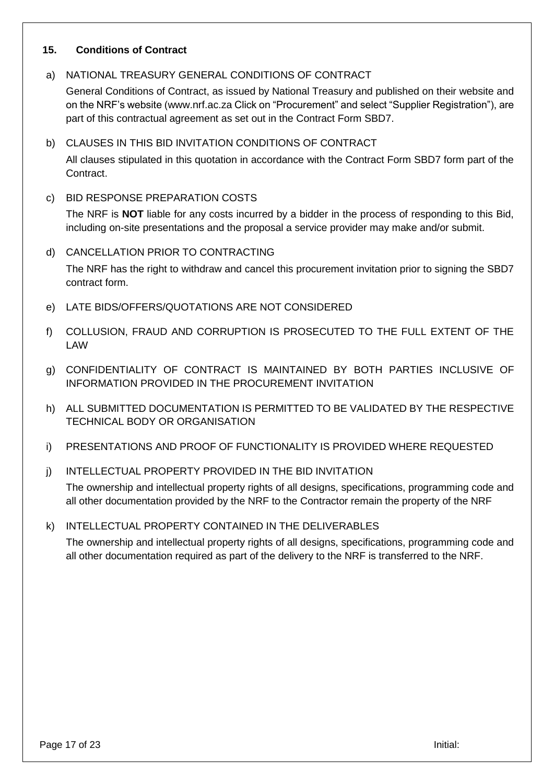#### **15. Conditions of Contract**

## a) NATIONAL TREASURY GENERAL CONDITIONS OF CONTRACT

General Conditions of Contract, as issued by National Treasury and published on their website and on the NRF's website [\(www.nrf.ac.za](http://www.nrf.ac.za/) Click on "Procurement" and select "Supplier Registration"), are part of this contractual agreement as set out in the Contract Form SBD7.

## b) CLAUSES IN THIS BID INVITATION CONDITIONS OF CONTRACT

All clauses stipulated in this quotation in accordance with the Contract Form SBD7 form part of the Contract.

c) BID RESPONSE PREPARATION COSTS

The NRF is **NOT** liable for any costs incurred by a bidder in the process of responding to this Bid, including on-site presentations and the proposal a service provider may make and/or submit.

### d) CANCELLATION PRIOR TO CONTRACTING

The NRF has the right to withdraw and cancel this procurement invitation prior to signing the SBD7 contract form.

- e) LATE BIDS/OFFERS/QUOTATIONS ARE NOT CONSIDERED
- f) COLLUSION, FRAUD AND CORRUPTION IS PROSECUTED TO THE FULL EXTENT OF THE LAW
- g) CONFIDENTIALITY OF CONTRACT IS MAINTAINED BY BOTH PARTIES INCLUSIVE OF INFORMATION PROVIDED IN THE PROCUREMENT INVITATION
- h) ALL SUBMITTED DOCUMENTATION IS PERMITTED TO BE VALIDATED BY THE RESPECTIVE TECHNICAL BODY OR ORGANISATION
- i) PRESENTATIONS AND PROOF OF FUNCTIONALITY IS PROVIDED WHERE REQUESTED
- j) INTELLECTUAL PROPERTY PROVIDED IN THE BID INVITATION

The ownership and intellectual property rights of all designs, specifications, programming code and all other documentation provided by the NRF to the Contractor remain the property of the NRF

k) INTELLECTUAL PROPERTY CONTAINED IN THE DELIVERABLES

The ownership and intellectual property rights of all designs, specifications, programming code and all other documentation required as part of the delivery to the NRF is transferred to the NRF.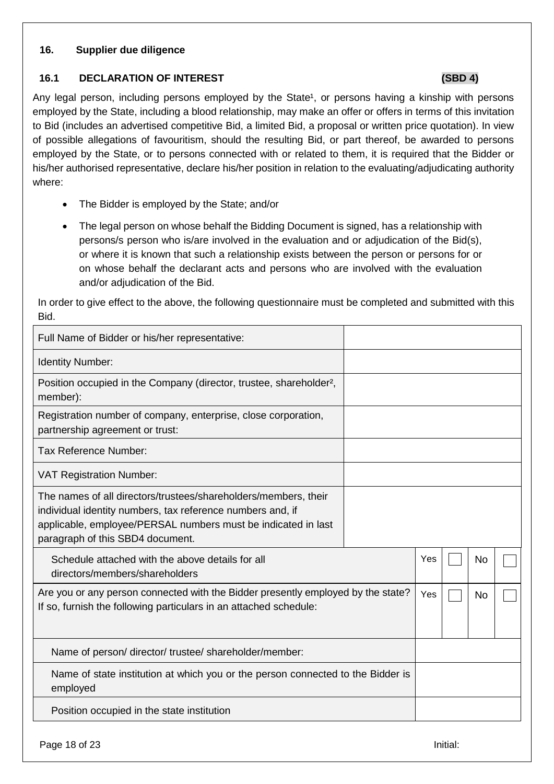### **16. Supplier due diligence**

### **16.1 DECLARATION OF INTEREST (SBD 4)**

Any legal person, including persons employed by the State<sup>1</sup>, or persons having a kinship with persons employed by the State, including a blood relationship, may make an offer or offers in terms of this invitation to Bid (includes an advertised competitive Bid, a limited Bid, a proposal or written price quotation). In view of possible allegations of favouritism, should the resulting Bid, or part thereof, be awarded to persons employed by the State, or to persons connected with or related to them, it is required that the Bidder or his/her authorised representative, declare his/her position in relation to the evaluating/adjudicating authority where:

- The Bidder is employed by the State; and/or
- The legal person on whose behalf the Bidding Document is signed, has a relationship with persons/s person who is/are involved in the evaluation and or adjudication of the Bid(s), or where it is known that such a relationship exists between the person or persons for or on whose behalf the declarant acts and persons who are involved with the evaluation and/or adjudication of the Bid.

In order to give effect to the above, the following questionnaire must be completed and submitted with this Bid.

| Full Name of Bidder or his/her representative:                                                                                                                                                                                     |  |     |           |  |
|------------------------------------------------------------------------------------------------------------------------------------------------------------------------------------------------------------------------------------|--|-----|-----------|--|
| <b>Identity Number:</b>                                                                                                                                                                                                            |  |     |           |  |
| Position occupied in the Company (director, trustee, shareholder <sup>2</sup> ,<br>member):                                                                                                                                        |  |     |           |  |
| Registration number of company, enterprise, close corporation,<br>partnership agreement or trust:                                                                                                                                  |  |     |           |  |
| Tax Reference Number:                                                                                                                                                                                                              |  |     |           |  |
| <b>VAT Registration Number:</b>                                                                                                                                                                                                    |  |     |           |  |
| The names of all directors/trustees/shareholders/members, their<br>individual identity numbers, tax reference numbers and, if<br>applicable, employee/PERSAL numbers must be indicated in last<br>paragraph of this SBD4 document. |  |     |           |  |
| Schedule attached with the above details for all<br>directors/members/shareholders                                                                                                                                                 |  | Yes | <b>No</b> |  |
| Are you or any person connected with the Bidder presently employed by the state?<br>If so, furnish the following particulars in an attached schedule:                                                                              |  | Yes | <b>No</b> |  |
| Name of person/ director/ trustee/ shareholder/member:                                                                                                                                                                             |  |     |           |  |
| Name of state institution at which you or the person connected to the Bidder is<br>employed                                                                                                                                        |  |     |           |  |
| Position occupied in the state institution                                                                                                                                                                                         |  |     |           |  |

Page 18 of 23 Initial: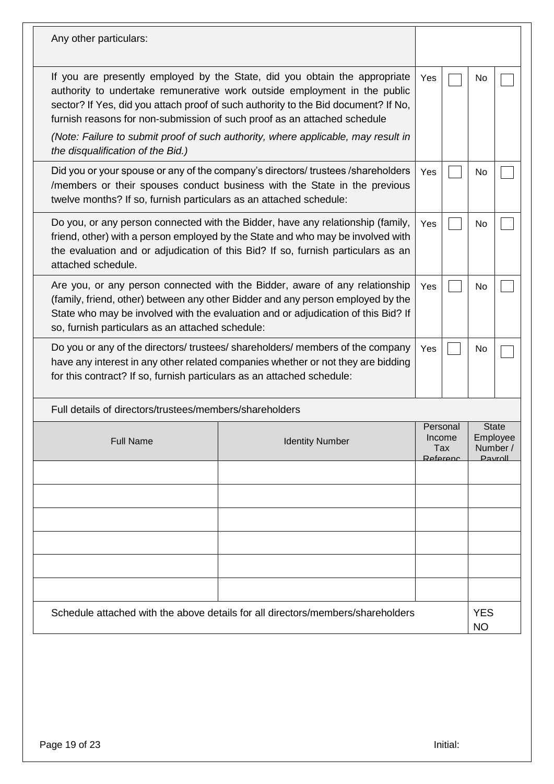| Any other particulars:                                                                                                                                                                                                                                                                                                                                                                                         |                                                                                                                                                                                                                                     |                                       |  |                                                 |  |
|----------------------------------------------------------------------------------------------------------------------------------------------------------------------------------------------------------------------------------------------------------------------------------------------------------------------------------------------------------------------------------------------------------------|-------------------------------------------------------------------------------------------------------------------------------------------------------------------------------------------------------------------------------------|---------------------------------------|--|-------------------------------------------------|--|
| If you are presently employed by the State, did you obtain the appropriate<br>authority to undertake remunerative work outside employment in the public<br>sector? If Yes, did you attach proof of such authority to the Bid document? If No,<br>furnish reasons for non-submission of such proof as an attached schedule<br>(Note: Failure to submit proof of such authority, where applicable, may result in |                                                                                                                                                                                                                                     |                                       |  | No                                              |  |
| the disqualification of the Bid.)                                                                                                                                                                                                                                                                                                                                                                              |                                                                                                                                                                                                                                     |                                       |  |                                                 |  |
|                                                                                                                                                                                                                                                                                                                                                                                                                | Did you or your spouse or any of the company's directors/ trustees /shareholders<br>/members or their spouses conduct business with the State in the previous<br>twelve months? If so, furnish particulars as an attached schedule: |                                       |  | No                                              |  |
| Do you, or any person connected with the Bidder, have any relationship (family,<br>friend, other) with a person employed by the State and who may be involved with<br>the evaluation and or adjudication of this Bid? If so, furnish particulars as an<br>attached schedule.                                                                                                                                   |                                                                                                                                                                                                                                     |                                       |  | No                                              |  |
| Are you, or any person connected with the Bidder, aware of any relationship<br>(family, friend, other) between any other Bidder and any person employed by the<br>State who may be involved with the evaluation and or adjudication of this Bid? If<br>so, furnish particulars as an attached schedule:                                                                                                        |                                                                                                                                                                                                                                     |                                       |  | No                                              |  |
| for this contract? If so, furnish particulars as an attached schedule:                                                                                                                                                                                                                                                                                                                                         | Do you or any of the directors/ trustees/ shareholders/ members of the company<br>have any interest in any other related companies whether or not they are bidding                                                                  | Yes                                   |  | No                                              |  |
| Full details of directors/trustees/members/shareholders                                                                                                                                                                                                                                                                                                                                                        |                                                                                                                                                                                                                                     |                                       |  |                                                 |  |
| <b>Full Name</b>                                                                                                                                                                                                                                                                                                                                                                                               | <b>Identity Number</b>                                                                                                                                                                                                              | Personal<br>Income<br>Tax<br>Referenc |  | <b>State</b><br>Employee<br>Number /<br>Payroll |  |
|                                                                                                                                                                                                                                                                                                                                                                                                                |                                                                                                                                                                                                                                     |                                       |  |                                                 |  |
|                                                                                                                                                                                                                                                                                                                                                                                                                |                                                                                                                                                                                                                                     |                                       |  |                                                 |  |
|                                                                                                                                                                                                                                                                                                                                                                                                                |                                                                                                                                                                                                                                     |                                       |  |                                                 |  |
|                                                                                                                                                                                                                                                                                                                                                                                                                |                                                                                                                                                                                                                                     |                                       |  |                                                 |  |
|                                                                                                                                                                                                                                                                                                                                                                                                                |                                                                                                                                                                                                                                     |                                       |  |                                                 |  |
|                                                                                                                                                                                                                                                                                                                                                                                                                |                                                                                                                                                                                                                                     |                                       |  |                                                 |  |
|                                                                                                                                                                                                                                                                                                                                                                                                                | Schedule attached with the above details for all directors/members/shareholders                                                                                                                                                     |                                       |  | <b>YES</b><br><b>NO</b>                         |  |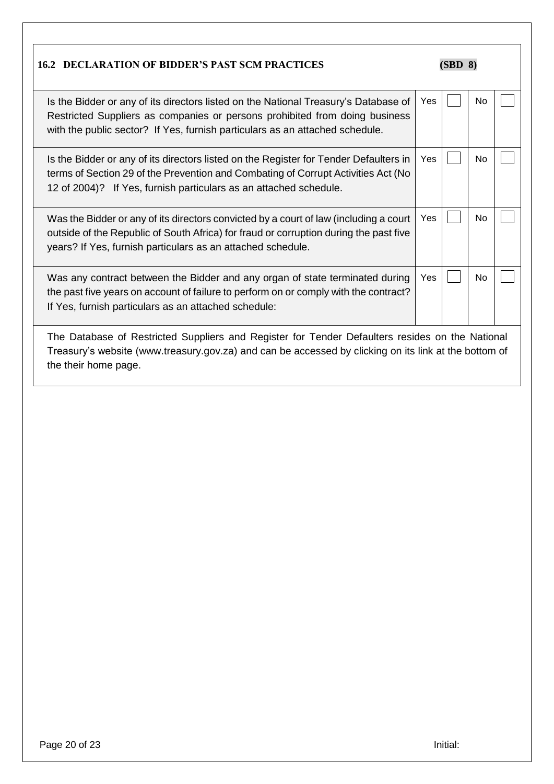| <b>16.2 DECLARATION OF BIDDER'S PAST SCM PRACTICES</b>                                                                                                                                                                                             |     | (SBD 8) |    |  |
|----------------------------------------------------------------------------------------------------------------------------------------------------------------------------------------------------------------------------------------------------|-----|---------|----|--|
| Is the Bidder or any of its directors listed on the National Treasury's Database of<br>Restricted Suppliers as companies or persons prohibited from doing business<br>with the public sector? If Yes, furnish particulars as an attached schedule. | Yes |         | No |  |
| Is the Bidder or any of its directors listed on the Register for Tender Defaulters in<br>terms of Section 29 of the Prevention and Combating of Corrupt Activities Act (No<br>12 of 2004)? If Yes, furnish particulars as an attached schedule.    | Yes |         | No |  |
| Was the Bidder or any of its directors convicted by a court of law (including a court<br>outside of the Republic of South Africa) for fraud or corruption during the past five<br>years? If Yes, furnish particulars as an attached schedule.      | Yes |         | No |  |
| Was any contract between the Bidder and any organ of state terminated during<br>the past five years on account of failure to perform on or comply with the contract?<br>If Yes, furnish particulars as an attached schedule:                       | Yes |         | No |  |
| The Database of Restricted Suppliers and Register for Tender Defaulters resides on the National<br>Treasury's website (www.treasury.gov.za) and can be accessed by clicking on its link at the bottom of<br>the their home page.                   |     |         |    |  |

**r**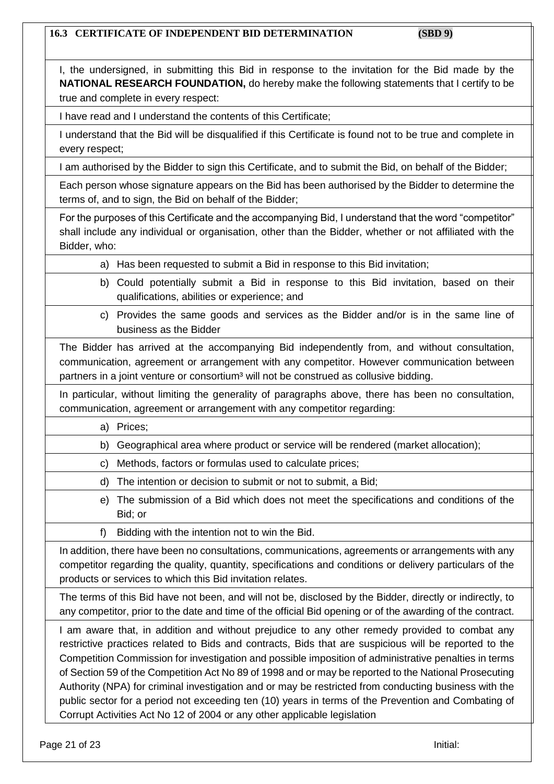# **16.3 CERTIFICATE OF INDEPENDENT BID DETERMINATION (SBD 9)**

| I, the undersigned, in submitting this Bid in response to the invitation for the Bid made by the                                                                                                                                                                                                                                                                                                                                                                                                                                                                                                                                                                                                                     |
|----------------------------------------------------------------------------------------------------------------------------------------------------------------------------------------------------------------------------------------------------------------------------------------------------------------------------------------------------------------------------------------------------------------------------------------------------------------------------------------------------------------------------------------------------------------------------------------------------------------------------------------------------------------------------------------------------------------------|
| NATIONAL RESEARCH FOUNDATION, do hereby make the following statements that I certify to be<br>true and complete in every respect:                                                                                                                                                                                                                                                                                                                                                                                                                                                                                                                                                                                    |
| I have read and I understand the contents of this Certificate;                                                                                                                                                                                                                                                                                                                                                                                                                                                                                                                                                                                                                                                       |
| I understand that the Bid will be disqualified if this Certificate is found not to be true and complete in<br>every respect;                                                                                                                                                                                                                                                                                                                                                                                                                                                                                                                                                                                         |
| I am authorised by the Bidder to sign this Certificate, and to submit the Bid, on behalf of the Bidder;                                                                                                                                                                                                                                                                                                                                                                                                                                                                                                                                                                                                              |
| Each person whose signature appears on the Bid has been authorised by the Bidder to determine the<br>terms of, and to sign, the Bid on behalf of the Bidder;                                                                                                                                                                                                                                                                                                                                                                                                                                                                                                                                                         |
| For the purposes of this Certificate and the accompanying Bid, I understand that the word "competitor"<br>shall include any individual or organisation, other than the Bidder, whether or not affiliated with the<br>Bidder, who:                                                                                                                                                                                                                                                                                                                                                                                                                                                                                    |
| a) Has been requested to submit a Bid in response to this Bid invitation;                                                                                                                                                                                                                                                                                                                                                                                                                                                                                                                                                                                                                                            |
| b) Could potentially submit a Bid in response to this Bid invitation, based on their<br>qualifications, abilities or experience; and                                                                                                                                                                                                                                                                                                                                                                                                                                                                                                                                                                                 |
| c) Provides the same goods and services as the Bidder and/or is in the same line of<br>business as the Bidder                                                                                                                                                                                                                                                                                                                                                                                                                                                                                                                                                                                                        |
| The Bidder has arrived at the accompanying Bid independently from, and without consultation,<br>communication, agreement or arrangement with any competitor. However communication between<br>partners in a joint venture or consortium <sup>3</sup> will not be construed as collusive bidding.                                                                                                                                                                                                                                                                                                                                                                                                                     |
| In particular, without limiting the generality of paragraphs above, there has been no consultation,<br>communication, agreement or arrangement with any competitor regarding:                                                                                                                                                                                                                                                                                                                                                                                                                                                                                                                                        |
| Prices;<br>a)                                                                                                                                                                                                                                                                                                                                                                                                                                                                                                                                                                                                                                                                                                        |
| Geographical area where product or service will be rendered (market allocation);<br>b)                                                                                                                                                                                                                                                                                                                                                                                                                                                                                                                                                                                                                               |
| c) Methods, factors or formulas used to calculate prices;                                                                                                                                                                                                                                                                                                                                                                                                                                                                                                                                                                                                                                                            |
| The intention or decision to submit or not to submit, a Bid;<br>d)                                                                                                                                                                                                                                                                                                                                                                                                                                                                                                                                                                                                                                                   |
| The submission of a Bid which does not meet the specifications and conditions of the<br>e)<br>Bid; or                                                                                                                                                                                                                                                                                                                                                                                                                                                                                                                                                                                                                |
| f)<br>Bidding with the intention not to win the Bid.                                                                                                                                                                                                                                                                                                                                                                                                                                                                                                                                                                                                                                                                 |
| In addition, there have been no consultations, communications, agreements or arrangements with any<br>competitor regarding the quality, quantity, specifications and conditions or delivery particulars of the<br>products or services to which this Bid invitation relates.                                                                                                                                                                                                                                                                                                                                                                                                                                         |
| The terms of this Bid have not been, and will not be, disclosed by the Bidder, directly or indirectly, to<br>any competitor, prior to the date and time of the official Bid opening or of the awarding of the contract.                                                                                                                                                                                                                                                                                                                                                                                                                                                                                              |
| I am aware that, in addition and without prejudice to any other remedy provided to combat any<br>restrictive practices related to Bids and contracts, Bids that are suspicious will be reported to the<br>Competition Commission for investigation and possible imposition of administrative penalties in terms<br>of Section 59 of the Competition Act No 89 of 1998 and or may be reported to the National Prosecuting<br>Authority (NPA) for criminal investigation and or may be restricted from conducting business with the<br>public sector for a period not exceeding ten (10) years in terms of the Prevention and Combating of<br>Corrupt Activities Act No 12 of 2004 or any other applicable legislation |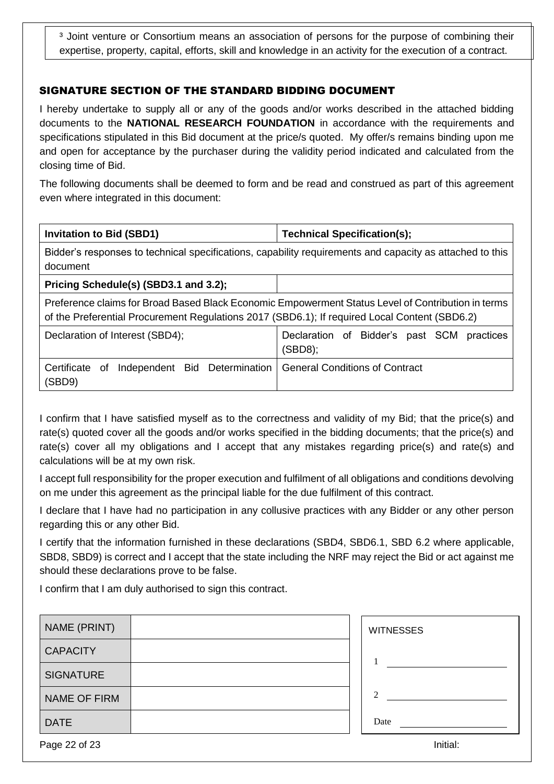<sup>3</sup> Joint venture or Consortium means an association of persons for the purpose of combining their expertise, property, capital, efforts, skill and knowledge in an activity for the execution of a contract.

## SIGNATURE SECTION OF THE STANDARD BIDDING DOCUMENT

I hereby undertake to supply all or any of the goods and/or works described in the attached bidding documents to the **NATIONAL RESEARCH FOUNDATION** in accordance with the requirements and specifications stipulated in this Bid document at the price/s quoted. My offer/s remains binding upon me and open for acceptance by the purchaser during the validity period indicated and calculated from the closing time of Bid.

The following documents shall be deemed to form and be read and construed as part of this agreement even where integrated in this document:

| <b>Invitation to Bid (SBD1)</b>                                                                                                                                                                     | Technical Specification(s);                              |  |  |  |
|-----------------------------------------------------------------------------------------------------------------------------------------------------------------------------------------------------|----------------------------------------------------------|--|--|--|
| Bidder's responses to technical specifications, capability requirements and capacity as attached to this<br>document                                                                                |                                                          |  |  |  |
| Pricing Schedule(s) (SBD3.1 and 3.2);                                                                                                                                                               |                                                          |  |  |  |
| Preference claims for Broad Based Black Economic Empowerment Status Level of Contribution in terms<br>of the Preferential Procurement Regulations 2017 (SBD6.1); If required Local Content (SBD6.2) |                                                          |  |  |  |
| Declaration of Interest (SBD4);                                                                                                                                                                     | Declaration of Bidder's past SCM<br>practices<br>(SBD8); |  |  |  |
| Certificate<br>Independent Bid Determination<br>of<br>(SBD9)                                                                                                                                        | <b>General Conditions of Contract</b>                    |  |  |  |

I confirm that I have satisfied myself as to the correctness and validity of my Bid; that the price(s) and rate(s) quoted cover all the goods and/or works specified in the bidding documents; that the price(s) and rate(s) cover all my obligations and I accept that any mistakes regarding price(s) and rate(s) and calculations will be at my own risk.

I accept full responsibility for the proper execution and fulfilment of all obligations and conditions devolving on me under this agreement as the principal liable for the due fulfilment of this contract.

I declare that I have had no participation in any collusive practices with any Bidder or any other person regarding this or any other Bid.

I certify that the information furnished in these declarations (SBD4, SBD6.1, SBD 6.2 where applicable, SBD8, SBD9) is correct and I accept that the state including the NRF may reject the Bid or act against me should these declarations prove to be false.

I confirm that I am duly authorised to sign this contract.

| NAME (PRINT)     | <b>WITNESSES</b> |
|------------------|------------------|
| <b>CAPACITY</b>  |                  |
| <b>SIGNATURE</b> |                  |
| NAME OF FIRM     | $\mathfrak{D}$   |
| <b>DATE</b>      | Date             |
| Page 22 of 23    | Initial:         |